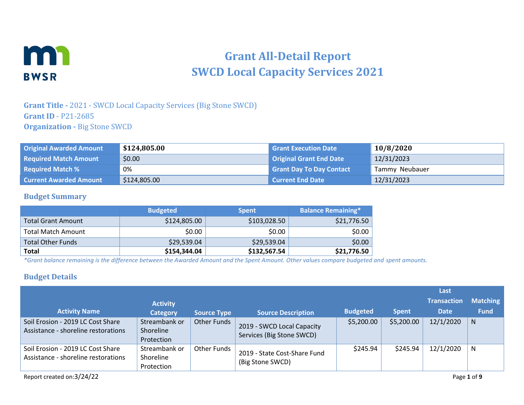

# **Grant All-Detail Report SWCD Local Capacity Services 2021**

### **Grant Title -** 2021 - SWCD Local Capacity Services (Big Stone SWCD) **Grant ID** - P21-2685 **Organization -** Big Stone SWCD

| <b>Original Awarded Amount</b> | \$124,805.00 | <b>Grant Execution Date</b>     | 10/8/2020      |
|--------------------------------|--------------|---------------------------------|----------------|
| <b>Required Match Amount</b>   | \$0.00       | <b>Original Grant End Date</b>  | 12/31/2023     |
| <b>Required Match %</b>        | 0%           | <b>Grant Day To Day Contact</b> | Tammy Neubauer |
| <b>Current Awarded Amount</b>  | \$124,805.00 | <b>Current End Date</b>         | 12/31/2023     |

#### **Budget Summary**

|                           | <b>Budgeted</b> | <b>Spent</b> | <b>Balance Remaining*</b> |
|---------------------------|-----------------|--------------|---------------------------|
| <b>Total Grant Amount</b> | \$124,805.00    | \$103,028.50 | \$21,776.50               |
| <b>Total Match Amount</b> | \$0.00          | \$0.00       | \$0.00                    |
| <b>Total Other Funds</b>  | \$29,539.04     | \$29,539.04  | \$0.00                    |
| <b>Total</b>              | \$154,344.04    | \$132,567.54 | \$21,776.50               |

*\*Grant balance remaining is the difference between the Awarded Amount and the Spent Amount. Other values compare budgeted and spent amounts.*

#### **Budget Details**

|                                                                          |                                          |                    |                                                         |                 |              | Last               |                 |
|--------------------------------------------------------------------------|------------------------------------------|--------------------|---------------------------------------------------------|-----------------|--------------|--------------------|-----------------|
|                                                                          | <b>Activity</b>                          |                    |                                                         |                 |              | <b>Transaction</b> | <b>Matching</b> |
| <b>Activity Name</b>                                                     | <b>Category</b>                          | <b>Source Type</b> | <b>Source Description</b>                               | <b>Budgeted</b> | <b>Spent</b> | <b>Date</b>        | <b>Fund</b>     |
| Soil Erosion - 2019 LC Cost Share<br>Assistance - shoreline restorations | Streambank or<br>Shoreline<br>Protection | Other Funds        | 2019 - SWCD Local Capacity<br>Services (Big Stone SWCD) | \$5,200.00      | \$5,200.00   | 12/1/2020          | N               |
| Soil Erosion - 2019 LC Cost Share<br>Assistance - shoreline restorations | Streambank or<br>Shoreline<br>Protection | Other Funds        | 2019 - State Cost-Share Fund<br>(Big Stone SWCD)        | \$245.94        | \$245.94     | 12/1/2020          | N               |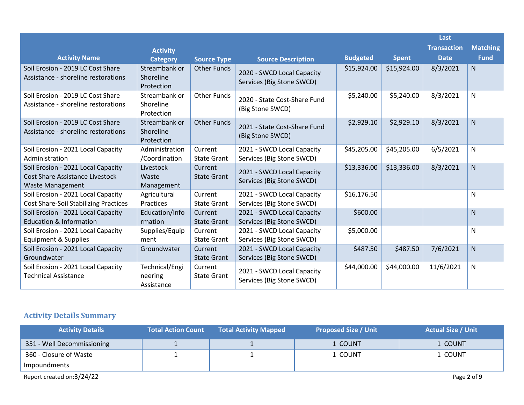|                                                                                                         |                                          |                               |                                                         |                 |              | Last               |                 |
|---------------------------------------------------------------------------------------------------------|------------------------------------------|-------------------------------|---------------------------------------------------------|-----------------|--------------|--------------------|-----------------|
|                                                                                                         | <b>Activity</b>                          |                               |                                                         |                 |              | <b>Transaction</b> | <b>Matching</b> |
| <b>Activity Name</b>                                                                                    | <b>Category</b>                          | <b>Source Type</b>            | <b>Source Description</b>                               | <b>Budgeted</b> | <b>Spent</b> | <b>Date</b>        | <b>Fund</b>     |
| Soil Erosion - 2019 LC Cost Share<br>Assistance - shoreline restorations                                | Streambank or<br>Shoreline<br>Protection | <b>Other Funds</b>            | 2020 - SWCD Local Capacity<br>Services (Big Stone SWCD) | \$15,924.00     | \$15,924.00  | 8/3/2021           | N               |
| Soil Erosion - 2019 LC Cost Share<br>Assistance - shoreline restorations                                | Streambank or<br>Shoreline<br>Protection | <b>Other Funds</b>            | 2020 - State Cost-Share Fund<br>(Big Stone SWCD)        | \$5,240.00      | \$5,240.00   | 8/3/2021           | N               |
| Soil Erosion - 2019 LC Cost Share<br>Assistance - shoreline restorations                                | Streambank or<br>Shoreline<br>Protection | <b>Other Funds</b>            | 2021 - State Cost-Share Fund<br>(Big Stone SWCD)        | \$2,929.10      | \$2,929.10   | 8/3/2021           | N               |
| Soil Erosion - 2021 Local Capacity<br>Administration                                                    | Administration<br>/Coordination          | Current<br><b>State Grant</b> | 2021 - SWCD Local Capacity<br>Services (Big Stone SWCD) | \$45,205.00     | \$45,205.00  | 6/5/2021           | N               |
| Soil Erosion - 2021 Local Capacity<br><b>Cost Share Assistance Livestock</b><br><b>Waste Management</b> | Livestock<br>Waste<br>Management         | Current<br><b>State Grant</b> | 2021 - SWCD Local Capacity<br>Services (Big Stone SWCD) | \$13,336.00     | \$13,336.00  | 8/3/2021           | N               |
| Soil Erosion - 2021 Local Capacity<br><b>Cost Share-Soil Stabilizing Practices</b>                      | Agricultural<br>Practices                | Current<br><b>State Grant</b> | 2021 - SWCD Local Capacity<br>Services (Big Stone SWCD) | \$16,176.50     |              |                    | N               |
| Soil Erosion - 2021 Local Capacity<br><b>Education &amp; Information</b>                                | Education/Info<br>rmation                | Current<br><b>State Grant</b> | 2021 - SWCD Local Capacity<br>Services (Big Stone SWCD) | \$600.00        |              |                    | $\mathsf{N}$    |
| Soil Erosion - 2021 Local Capacity<br><b>Equipment &amp; Supplies</b>                                   | Supplies/Equip<br>ment                   | Current<br><b>State Grant</b> | 2021 - SWCD Local Capacity<br>Services (Big Stone SWCD) | \$5,000.00      |              |                    | N               |
| Soil Erosion - 2021 Local Capacity<br>Groundwater                                                       | Groundwater                              | Current<br><b>State Grant</b> | 2021 - SWCD Local Capacity<br>Services (Big Stone SWCD) | \$487.50        | \$487.50     | 7/6/2021           | N               |
| Soil Erosion - 2021 Local Capacity<br><b>Technical Assistance</b>                                       | Technical/Engi<br>neering<br>Assistance  | Current<br><b>State Grant</b> | 2021 - SWCD Local Capacity<br>Services (Big Stone SWCD) | \$44,000.00     | \$44,000.00  | 11/6/2021          | N               |

# **Activity Details Summary**

| <b>Activity Details</b>    | <b>Total Action Count</b> | <b>Total Activity Mapped</b> | <b>Proposed Size / Unit</b> | <b>Actual Size / Unit</b> |
|----------------------------|---------------------------|------------------------------|-----------------------------|---------------------------|
| 351 - Well Decommissioning |                           |                              | 1 COUNT                     | 1 COUNT                   |
| 360 - Closure of Waste     |                           |                              | 1 COUNT                     | 1 COUNT                   |
| Impoundments               |                           |                              |                             |                           |
| Report created on:3/24/22  |                           |                              |                             | Page 2 of 9               |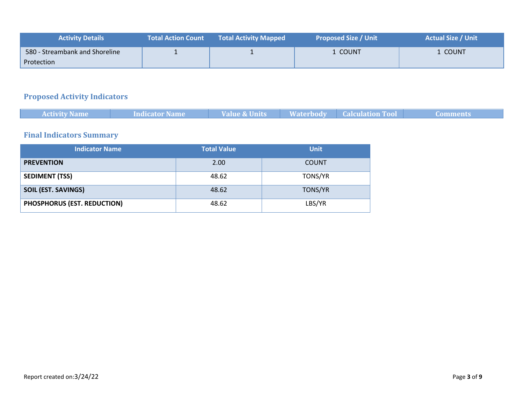| <b>Activity Details</b>        | <b>Total Action Count</b> | <b>Total Activity Mapped</b> | <b>Proposed Size / Unit</b> | <b>Actual Size / Unit</b> |
|--------------------------------|---------------------------|------------------------------|-----------------------------|---------------------------|
| 580 - Streambank and Shoreline |                           |                              | . COUNT                     | COUNT                     |
| Protection                     |                           |                              |                             |                           |

# **Proposed Activity Indicators**

| <b>Activity Name</b> | <b>Indicator Name</b> | Value & Units | <b>Waterbody Calculation Tool</b> | 'Comments |
|----------------------|-----------------------|---------------|-----------------------------------|-----------|
|                      |                       |               |                                   |           |
|                      |                       |               |                                   |           |

## **Final Indicators Summary**

| <b>Indicator Name</b>       | <b>Total Value</b> | <b>Unit</b>  |
|-----------------------------|--------------------|--------------|
| <b>PREVENTION</b>           | 2.00               | <b>COUNT</b> |
| <b>SEDIMENT (TSS)</b>       | 48.62              | TONS/YR      |
| <b>SOIL (EST. SAVINGS)</b>  | 48.62              | TONS/YR      |
| PHOSPHORUS (EST. REDUCTION) | 48.62              | LBS/YR       |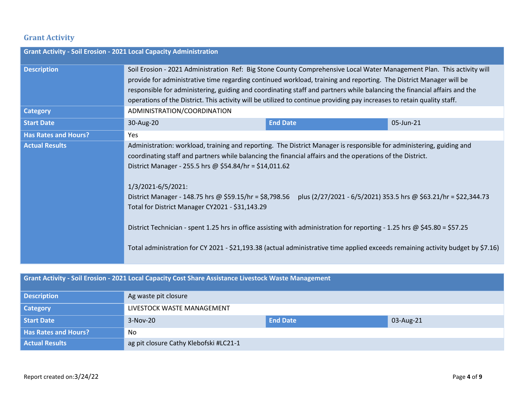## **Grant Activity**

| <b>Grant Activity - Soil Erosion - 2021 Local Capacity Administration</b> |                                                                                                                                                                                                                                                                                                                                                                                                                                                                                                                                                                                                                                                                                                                                                                   |                 |           |  |
|---------------------------------------------------------------------------|-------------------------------------------------------------------------------------------------------------------------------------------------------------------------------------------------------------------------------------------------------------------------------------------------------------------------------------------------------------------------------------------------------------------------------------------------------------------------------------------------------------------------------------------------------------------------------------------------------------------------------------------------------------------------------------------------------------------------------------------------------------------|-----------------|-----------|--|
| <b>Description</b>                                                        | Soil Erosion - 2021 Administration Ref: Big Stone County Comprehensive Local Water Management Plan. This activity will<br>provide for administrative time regarding continued workload, training and reporting. The District Manager will be<br>responsible for administering, guiding and coordinating staff and partners while balancing the financial affairs and the<br>operations of the District. This activity will be utilized to continue providing pay increases to retain quality staff.                                                                                                                                                                                                                                                               |                 |           |  |
| <b>Category</b>                                                           | ADMINISTRATION/COORDINATION                                                                                                                                                                                                                                                                                                                                                                                                                                                                                                                                                                                                                                                                                                                                       |                 |           |  |
| <b>Start Date</b>                                                         | 30-Aug-20                                                                                                                                                                                                                                                                                                                                                                                                                                                                                                                                                                                                                                                                                                                                                         | <b>End Date</b> | 05-Jun-21 |  |
| <b>Has Rates and Hours?</b>                                               | Yes                                                                                                                                                                                                                                                                                                                                                                                                                                                                                                                                                                                                                                                                                                                                                               |                 |           |  |
| <b>Actual Results</b>                                                     | Administration: workload, training and reporting. The District Manager is responsible for administering, guiding and<br>coordinating staff and partners while balancing the financial affairs and the operations of the District.<br>District Manager - 255.5 hrs @ \$54.84/hr = \$14,011.62<br>1/3/2021-6/5/2021:<br>District Manager - 148.75 hrs @ \$59.15/hr = \$8,798.56 plus (2/27/2021 - 6/5/2021) 353.5 hrs @ \$63.21/hr = \$22,344.73<br>Total for District Manager CY2021 - \$31,143.29<br>District Technician - spent 1.25 hrs in office assisting with administration for reporting - 1.25 hrs @ \$45.80 = \$57.25<br>Total administration for CY 2021 - \$21,193.38 (actual administrative time applied exceeds remaining activity budget by \$7.16) |                 |           |  |

| Grant Activity - Soil Erosion - 2021 Local Capacity Cost Share Assistance Livestock Waste Management |                                        |                 |           |
|------------------------------------------------------------------------------------------------------|----------------------------------------|-----------------|-----------|
| <b>Description</b>                                                                                   | Ag waste pit closure                   |                 |           |
| <b>Category</b>                                                                                      | LIVESTOCK WASTE MANAGEMENT             |                 |           |
| Start Date                                                                                           | 3-Nov-20                               | <b>End Date</b> | 03-Aug-21 |
| <b>Has Rates and Hours?</b>                                                                          | No.                                    |                 |           |
| <b>Actual Results</b>                                                                                | ag pit closure Cathy Klebofski #LC21-1 |                 |           |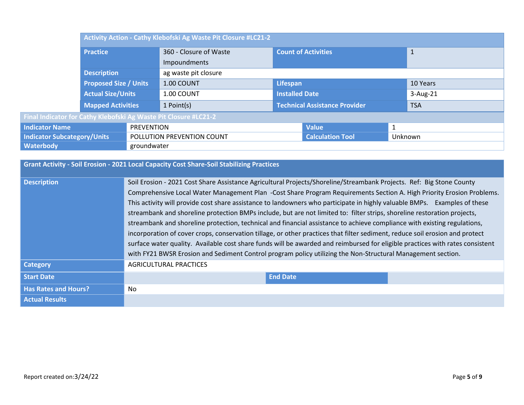|                                                                  | Activity Action - Cathy Klebofski Ag Waste Pit Closure #LC21-2 |             |                         |              |                                      |  |              |
|------------------------------------------------------------------|----------------------------------------------------------------|-------------|-------------------------|--------------|--------------------------------------|--|--------------|
|                                                                  | <b>Practice</b>                                                |             | 360 - Closure of Waste  |              | <b>Count of Activities</b>           |  | $\mathbf{1}$ |
|                                                                  |                                                                |             | Impoundments            |              |                                      |  |              |
|                                                                  | <b>Description</b>                                             |             | ag waste pit closure    |              |                                      |  |              |
|                                                                  | <b>Proposed Size / Units</b>                                   |             | 1.00 COUNT              |              | Lifespan                             |  | 10 Years     |
|                                                                  | <b>Actual Size/Units</b>                                       |             | 1.00 COUNT              |              | <b>Installed Date</b>                |  | $3-Aug-21$   |
|                                                                  | <b>Mapped Activities</b>                                       |             | 1 Point(s)              |              | <b>Technical Assistance Provider</b> |  | <b>TSA</b>   |
| Final Indicator for Cathy Klebofski Ag Waste Pit Closure #LC21-2 |                                                                |             |                         |              |                                      |  |              |
| <b>Indicator Name</b>                                            | <b>PREVENTION</b>                                              |             |                         | <b>Value</b> |                                      |  |              |
| <b>Indicator Subcategory/Units</b><br>POLLUTION PREVENTION COUNT |                                                                |             | <b>Calculation Tool</b> | Unknown      |                                      |  |              |
| <b>Waterbody</b>                                                 |                                                                | groundwater |                         |              |                                      |  |              |

| Grant Activity - Soil Erosion - 2021 Local Capacity Cost Share-Soil Stabilizing Practices |                                                                                                                                                                                                                                                                                                                                                                                                                                                                                                                                                                                                                                                                                                                                                                                                                                                                                                                                                                                                                    |  |  |  |
|-------------------------------------------------------------------------------------------|--------------------------------------------------------------------------------------------------------------------------------------------------------------------------------------------------------------------------------------------------------------------------------------------------------------------------------------------------------------------------------------------------------------------------------------------------------------------------------------------------------------------------------------------------------------------------------------------------------------------------------------------------------------------------------------------------------------------------------------------------------------------------------------------------------------------------------------------------------------------------------------------------------------------------------------------------------------------------------------------------------------------|--|--|--|
| <b>Description</b>                                                                        | Soil Erosion - 2021 Cost Share Assistance Agricultural Projects/Shoreline/Streambank Projects. Ref: Big Stone County<br>Comprehensive Local Water Management Plan -Cost Share Program Requirements Section A. High Priority Erosion Problems.<br>This activity will provide cost share assistance to landowners who participate in highly valuable BMPs. Examples of these<br>streambank and shoreline protection BMPs include, but are not limited to: filter strips, shoreline restoration projects,<br>streambank and shoreline protection, technical and financial assistance to achieve compliance with existing regulations,<br>incorporation of cover crops, conservation tillage, or other practices that filter sediment, reduce soil erosion and protect<br>surface water quality. Available cost share funds will be awarded and reimbursed for eligible practices with rates consistent<br>with FY21 BWSR Erosion and Sediment Control program policy utilizing the Non-Structural Management section. |  |  |  |
| <b>Category</b>                                                                           | <b>AGRICULTURAL PRACTICES</b>                                                                                                                                                                                                                                                                                                                                                                                                                                                                                                                                                                                                                                                                                                                                                                                                                                                                                                                                                                                      |  |  |  |
| <b>Start Date</b>                                                                         | <b>End Date</b>                                                                                                                                                                                                                                                                                                                                                                                                                                                                                                                                                                                                                                                                                                                                                                                                                                                                                                                                                                                                    |  |  |  |
| <b>Has Rates and Hours?</b>                                                               | No.                                                                                                                                                                                                                                                                                                                                                                                                                                                                                                                                                                                                                                                                                                                                                                                                                                                                                                                                                                                                                |  |  |  |
| <b>Actual Results</b>                                                                     |                                                                                                                                                                                                                                                                                                                                                                                                                                                                                                                                                                                                                                                                                                                                                                                                                                                                                                                                                                                                                    |  |  |  |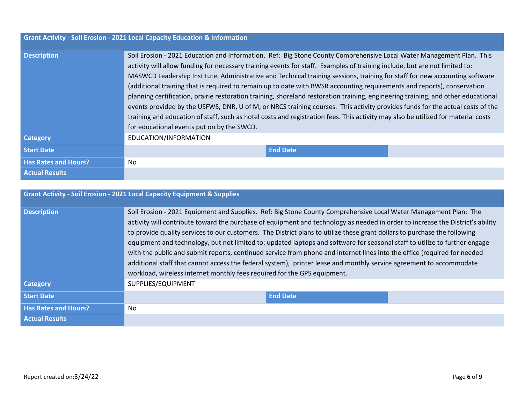| <b>Grant Activity - Soil Erosion - 2021 Local Capacity Education &amp; Information</b> |                                                                                                                                                                                                                                                                                                                                                                                                                                                                                                                                                                                                                                                                                                                                                                                                                                                                                                                                                                       |  |  |
|----------------------------------------------------------------------------------------|-----------------------------------------------------------------------------------------------------------------------------------------------------------------------------------------------------------------------------------------------------------------------------------------------------------------------------------------------------------------------------------------------------------------------------------------------------------------------------------------------------------------------------------------------------------------------------------------------------------------------------------------------------------------------------------------------------------------------------------------------------------------------------------------------------------------------------------------------------------------------------------------------------------------------------------------------------------------------|--|--|
| <b>Description</b>                                                                     | Soil Erosion - 2021 Education and Information. Ref: Big Stone County Comprehensive Local Water Management Plan. This<br>activity will allow funding for necessary training events for staff. Examples of training include, but are not limited to:<br>MASWCD Leadership Institute, Administrative and Technical training sessions, training for staff for new accounting software<br>(additional training that is required to remain up to date with BWSR accounting requirements and reports), conservation<br>planning certification, prairie restoration training, shoreland restoration training, engineering training, and other educational<br>events provided by the USFWS, DNR, U of M, or NRCS training courses. This activity provides funds for the actual costs of the<br>training and education of staff, such as hotel costs and registration fees. This activity may also be utilized for material costs<br>for educational events put on by the SWCD. |  |  |
| <b>Category</b>                                                                        | EDUCATION/INFORMATION                                                                                                                                                                                                                                                                                                                                                                                                                                                                                                                                                                                                                                                                                                                                                                                                                                                                                                                                                 |  |  |
| <b>Start Date</b>                                                                      | <b>End Date</b>                                                                                                                                                                                                                                                                                                                                                                                                                                                                                                                                                                                                                                                                                                                                                                                                                                                                                                                                                       |  |  |
| <b>Has Rates and Hours?</b>                                                            | No.                                                                                                                                                                                                                                                                                                                                                                                                                                                                                                                                                                                                                                                                                                                                                                                                                                                                                                                                                                   |  |  |
| <b>Actual Results</b>                                                                  |                                                                                                                                                                                                                                                                                                                                                                                                                                                                                                                                                                                                                                                                                                                                                                                                                                                                                                                                                                       |  |  |

| <b>Grant Activity - Soil Erosion - 2021 Local Capacity Equipment &amp; Supplies</b> |                                                                                                                                                                                                                                                                                                                                                                                                                                                                                                                                                                                                                                                                                                                                                                                                                                              |  |  |  |
|-------------------------------------------------------------------------------------|----------------------------------------------------------------------------------------------------------------------------------------------------------------------------------------------------------------------------------------------------------------------------------------------------------------------------------------------------------------------------------------------------------------------------------------------------------------------------------------------------------------------------------------------------------------------------------------------------------------------------------------------------------------------------------------------------------------------------------------------------------------------------------------------------------------------------------------------|--|--|--|
| <b>Description</b>                                                                  | Soil Erosion - 2021 Equipment and Supplies. Ref: Big Stone County Comprehensive Local Water Management Plan; The<br>activity will contribute toward the purchase of equipment and technology as needed in order to increase the District's ability<br>to provide quality services to our customers. The District plans to utilize these grant dollars to purchase the following<br>equipment and technology, but not limited to: updated laptops and software for seasonal staff to utilize to further engage<br>with the public and submit reports, continued service from phone and internet lines into the office (required for needed<br>additional staff that cannot access the federal system), printer lease and monthly service agreement to accommodate<br>workload, wireless internet monthly fees required for the GPS equipment. |  |  |  |
| <b>Category</b>                                                                     | SUPPLIES/EQUIPMENT                                                                                                                                                                                                                                                                                                                                                                                                                                                                                                                                                                                                                                                                                                                                                                                                                           |  |  |  |
| <b>Start Date</b>                                                                   | <b>End Date</b>                                                                                                                                                                                                                                                                                                                                                                                                                                                                                                                                                                                                                                                                                                                                                                                                                              |  |  |  |
| <b>Has Rates and Hours?</b>                                                         | No                                                                                                                                                                                                                                                                                                                                                                                                                                                                                                                                                                                                                                                                                                                                                                                                                                           |  |  |  |
| <b>Actual Results</b>                                                               |                                                                                                                                                                                                                                                                                                                                                                                                                                                                                                                                                                                                                                                                                                                                                                                                                                              |  |  |  |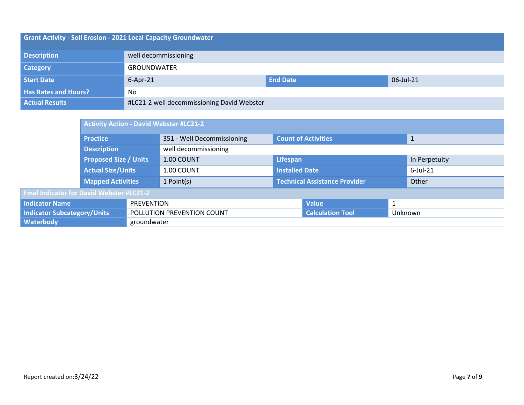| <b>Grant Activity - Soil Erosion - 2021 Local Capacity Groundwater</b> |                                                |  |  |  |
|------------------------------------------------------------------------|------------------------------------------------|--|--|--|
| <b>Description</b>                                                     | well decommissioning                           |  |  |  |
| <b>Category</b>                                                        | <b>GROUNDWATER</b>                             |  |  |  |
| Start Date                                                             | <b>End Date</b><br>$6 - Apr - 21$<br>06-Jul-21 |  |  |  |
| <b>Has Rates and Hours?</b>                                            | No                                             |  |  |  |
| <b>Actual Results</b>                                                  | #LC21-2 well decommissioning David Webster     |  |  |  |

|                                            | <b>Activity Action - David Webster #LC21-2</b> |                            |                            |                               |         |               |              |
|--------------------------------------------|------------------------------------------------|----------------------------|----------------------------|-------------------------------|---------|---------------|--------------|
|                                            | <b>Practice</b>                                |                            | 351 - Well Decommissioning | <b>Count of Activities</b>    |         |               | $\mathbf{1}$ |
|                                            | <b>Description</b>                             |                            | well decommissioning       |                               |         |               |              |
|                                            | <b>Proposed Size / Units</b>                   |                            | 1.00 COUNT                 | Lifespan                      |         | In Perpetuity |              |
|                                            | <b>Actual Size/Units</b>                       |                            | 1.00 COUNT                 | <b>Installed Date</b>         |         |               | $6$ -Jul-21  |
|                                            | Mapped Activities                              |                            | 1 Point(s)                 | Technical Assistance Provider |         |               | Other        |
| Final Indicator for David Webster #LC21-2  |                                                |                            |                            |                               |         |               |              |
| <b>Indicator Name</b><br><b>PREVENTION</b> |                                                |                            |                            | <b>Value</b>                  |         |               |              |
| <b>Indicator Subcategory/Units</b>         |                                                | POLLUTION PREVENTION COUNT |                            | <b>Calculation Tool</b>       | Unknown |               |              |
| <b>Waterbody</b>                           | groundwater                                    |                            |                            |                               |         |               |              |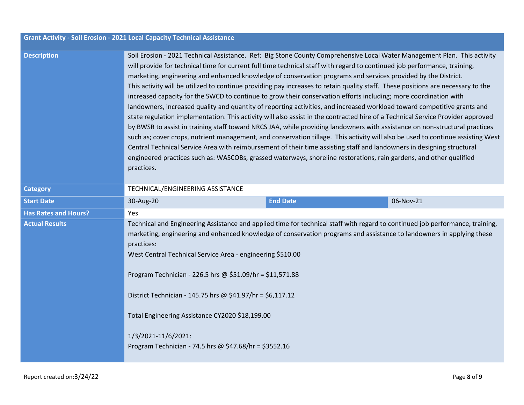| <b>Grant Activity - Soil Erosion - 2021 Local Capacity Technical Assistance</b> |  |
|---------------------------------------------------------------------------------|--|
|---------------------------------------------------------------------------------|--|

| <b>Description</b> |  |  |  |
|--------------------|--|--|--|
|                    |  |  |  |
|                    |  |  |  |
|                    |  |  |  |
|                    |  |  |  |

**Description** Soil Erosion - 2021 Technical Assistance. Ref: Big Stone County Comprehensive Local Water Management Plan. This activity will provide for technical time for current full time technical staff with regard to continued job performance, training, marketing, engineering and enhanced knowledge of conservation programs and services provided by the District. This activity will be utilized to continue providing pay increases to retain quality staff. These positions are necessary to the increased capacity for the SWCD to continue to grow their conservation efforts including; more coordination with landowners, increased quality and quantity of reporting activities, and increased workload toward competitive grants and state regulation implementation. This activity will also assist in the contracted hire of a Technical Service Provider approved by BWSR to assist in training staff toward NRCS JAA, while providing landowners with assistance on non-structural practices such as; cover crops, nutrient management, and conservation tillage. This activity will also be used to continue assisting West Central Technical Service Area with reimbursement of their time assisting staff and landowners in designing structural engineered practices such as: WASCOBs, grassed waterways, shoreline restorations, rain gardens, and other qualified practices.

| <b>Category</b>             | TECHNICAL/ENGINEERING ASSISTANCE                                                                                                                                                                                                                                                                                                                                                                                                                                                                                                                                                                  |                 |           |  |
|-----------------------------|---------------------------------------------------------------------------------------------------------------------------------------------------------------------------------------------------------------------------------------------------------------------------------------------------------------------------------------------------------------------------------------------------------------------------------------------------------------------------------------------------------------------------------------------------------------------------------------------------|-----------------|-----------|--|
| <b>Start Date</b>           | 30-Aug-20                                                                                                                                                                                                                                                                                                                                                                                                                                                                                                                                                                                         | <b>End Date</b> | 06-Nov-21 |  |
| <b>Has Rates and Hours?</b> | Yes.                                                                                                                                                                                                                                                                                                                                                                                                                                                                                                                                                                                              |                 |           |  |
| <b>Actual Results</b>       | Technical and Engineering Assistance and applied time for technical staff with regard to continued job performance, training,<br>marketing, engineering and enhanced knowledge of conservation programs and assistance to landowners in applying these<br>practices:<br>West Central Technical Service Area - engineering \$510.00<br>Program Technician - 226.5 hrs @ $$51.09/hr = $11,571.88$<br>District Technician - 145.75 hrs @ \$41.97/hr = \$6,117.12<br>Total Engineering Assistance CY2020 \$18,199.00<br>1/3/2021-11/6/2021:<br>Program Technician - 74.5 hrs @ \$47.68/hr = \$3552.16 |                 |           |  |